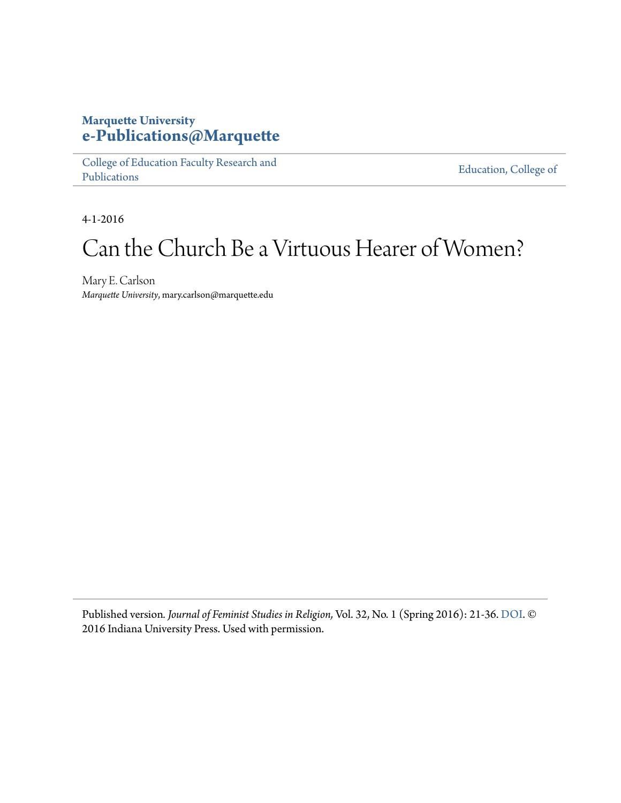# **Marquette University [e-Publications@Marquette](https://epublications.marquette.edu)**

[College of Education Faculty Research and](https://epublications.marquette.edu/edu_fac) [Publications](https://epublications.marquette.edu/edu_fac)

[Education, College of](https://epublications.marquette.edu/education)

4-1-2016

# Can the Church Be a Virtuous Hearer of Women?

Mary E. Carlson *Marquette University*, mary.carlson@marquette.edu

Published version*. Journal of Feminist Studies in Religion,* Vol. 32, No. 1 (Spring 2016): 21-36. [DOI.](http://dx.doi.org/10.2979/jfemistudreli.32.1.03) © 2016 Indiana University Press. Used with permission.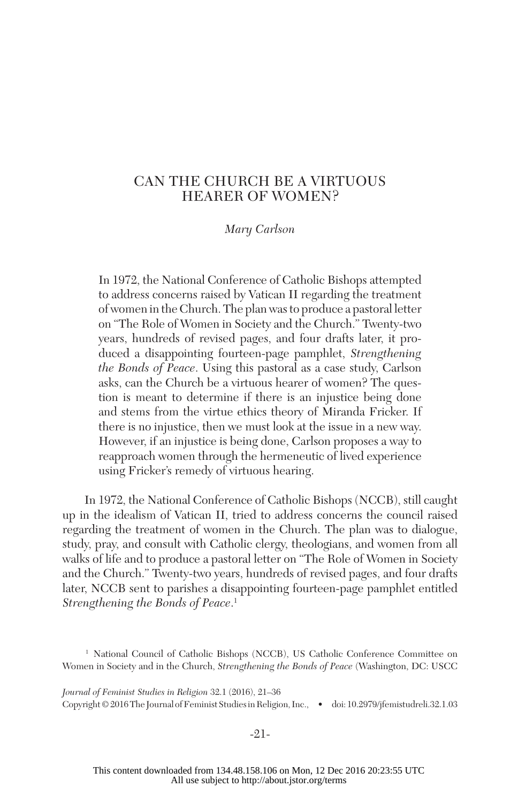# CAN THE CHURCH BE A VIRTUOUS HEARER OF WOMEN?

#### *Mary Carlson*

In 1972, the National Conference of Catholic Bishops attempted to address concerns raised by Vatican II regarding the treatment of women in the Church. The plan was to produce a pastoral letter on "The Role of Women in Society and the Church." Twenty-two years, hundreds of revised pages, and four drafts later, it produced a disappointing fourteen-page pamphlet, *Strengthening the Bonds of Peace*. Using this pastoral as a case study, Carlson asks, can the Church be a virtuous hearer of women? The question is meant to determine if there is an injustice being done and stems from the virtue ethics theory of Miranda Fricker. If there is no injustice, then we must look at the issue in a new way. However, if an injustice is being done, Carlson proposes a way to reapproach women through the hermeneutic of lived experience using Fricker's remedy of virtuous hearing.

In 1972, the National Conference of Catholic Bishops (NCCB), still caught up in the idealism of Vatican II, tried to address concerns the council raised regarding the treatment of women in the Church. The plan was to dialogue, study, pray, and consult with Catholic clergy, theologians, and women from all walks of life and to produce a pastoral letter on "The Role of Women in Society and the Church." Twenty-two years, hundreds of revised pages, and four drafts later, NCCB sent to parishes a disappointing fourteen-page pamphlet entitled *Strengthening the Bonds of Peace*. 1

*Journal of Feminist Studies in Religion* 32.1 (2016), 21–36 Copyright © 2016 The Journal of Feminist Studies in Religion, Inc., • doi: 10.2979/jfemistudreli.32.1.03

<sup>1</sup> National Council of Catholic Bishops (NCCB), US Catholic Conference Committee on Women in Society and in the Church, *Strengthening the Bonds of Peace* (Washington, DC: USCC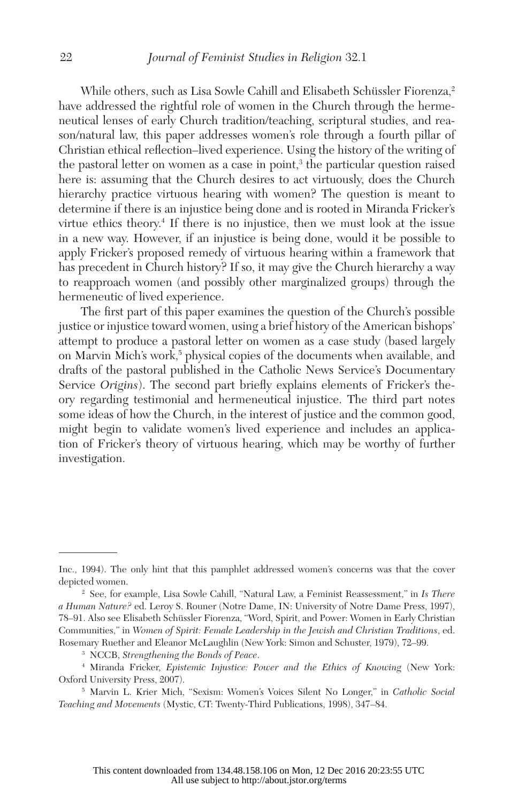While others, such as Lisa Sowle Cahill and Elisabeth Schüssler Fiorenza, $2$ have addressed the rightful role of women in the Church through the hermeneutical lenses of early Church tradition/teaching, scriptural studies, and reason/natural law, this paper addresses women's role through a fourth pillar of Christian ethical reflection–lived experience. Using the history of the writing of the pastoral letter on women as a case in point,<sup>3</sup> the particular question raised here is: assuming that the Church desires to act virtuously, does the Church hierarchy practice virtuous hearing with women? The question is meant to determine if there is an injustice being done and is rooted in Miranda Fricker's virtue ethics theory.4 If there is no injustice, then we must look at the issue in a new way. However, if an injustice is being done, would it be possible to apply Fricker's proposed remedy of virtuous hearing within a framework that has precedent in Church history? If so, it may give the Church hierarchy a way to reapproach women (and possibly other marginalized groups) through the hermeneutic of lived experience.

The first part of this paper examines the question of the Church's possible justice or injustice toward women, using a brief history of the American bishops' attempt to produce a pastoral letter on women as a case study (based largely on Marvin Mich's work,<sup>5</sup> physical copies of the documents when available, and drafts of the pastoral published in the Catholic News Service's Documentary Service *Origins*). The second part briefly explains elements of Fricker's theory regarding testimonial and hermeneutical injustice. The third part notes some ideas of how the Church, in the interest of justice and the common good, might begin to validate women's lived experience and includes an application of Fricker's theory of virtuous hearing, which may be worthy of further investigation.

Inc., 1994). The only hint that this pamphlet addressed women's concerns was that the cover depicted women.

<sup>2</sup> See, for example, Lisa Sowle Cahill, "Natural Law, a Feminist Reassessment," in *Is There a Human Nature?* ed. Leroy S. Rouner (Notre Dame, IN: University of Notre Dame Press, 1997), 78–91. Also see Elisabeth Schüssler Fiorenza, "Word, Spirit, and Power: Women in Early Christian Communities," in *Women of Spirit: Female Leadership in the Jewish and Christian Traditions*, ed. Rosemary Ruether and Eleanor McLaughlin (New York: Simon and Schuster, 1979), 72–99.

<sup>&</sup>lt;sup>3</sup> NCCB, *Strengthening the Bonds of Peace*.<br><sup>4</sup> Miranda Ericker, *Enistemic Injustice*: *Po* 

<sup>&</sup>lt;sup>4</sup> Miranda Fricker, *Epistemic Injustice: Power and the Ethics of Knowing* (New York: Oxford University Press, 2007).

Marvin L. Krier Mich, "Sexism: Women's Voices Silent No Longer," in *Catholic Social Teaching and Movements* (Mystic, CT: Twenty-Third Publications, 1998), 347–84.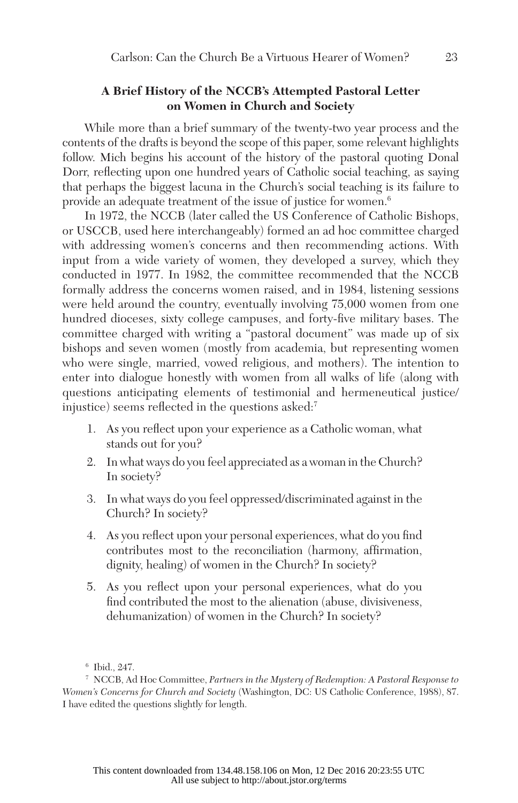# **A Brief History of the NCCB's Attempted Pastoral Letter on Women in Church and Society**

While more than a brief summary of the twenty-two year process and the contents of the drafts is beyond the scope of this paper, some relevant highlights follow. Mich begins his account of the history of the pastoral quoting Donal Dorr, reflecting upon one hundred years of Catholic social teaching, as saying that perhaps the biggest lacuna in the Church's social teaching is its failure to provide an adequate treatment of the issue of justice for women.<sup>6</sup>

In 1972, the NCCB (later called the US Conference of Catholic Bishops, or USCCB, used here interchangeably) formed an ad hoc committee charged with addressing women's concerns and then recommending actions. With input from a wide variety of women, they developed a survey, which they conducted in 1977. In 1982, the committee recommended that the NCCB formally address the concerns women raised, and in 1984, listening sessions were held around the country, eventually involving 75,000 women from one hundred dioceses, sixty college campuses, and forty-five military bases. The committee charged with writing a "pastoral document" was made up of six bishops and seven women (mostly from academia, but representing women who were single, married, vowed religious, and mothers). The intention to enter into dialogue honestly with women from all walks of life (along with questions anticipating elements of testimonial and hermeneutical justice/ injustice) seems reflected in the questions asked: $<sup>7</sup>$ </sup>

- 1. As you reflect upon your experience as a Catholic woman, what stands out for you?
- 2. In what ways do you feel appreciated as a woman in the Church? In society?
- 3. In what ways do you feel oppressed/discriminated against in the Church? In society?
- 4. As you reflect upon your personal experiences, what do you find contributes most to the reconciliation (harmony, affirmation, dignity, healing) of women in the Church? In society?
- 5. As you reflect upon your personal experiences, what do you find contributed the most to the alienation (abuse, divisiveness, dehumanization) of women in the Church? In society?

<sup>6</sup> Ibid., 247.

<sup>7</sup> NCCB, Ad Hoc Committee, *Partners in the Mystery of Redemption: A Pastoral Response to Women's Concerns for Church and Society* (Washington, DC: US Catholic Conference, 1988), 87. I have edited the questions slightly for length.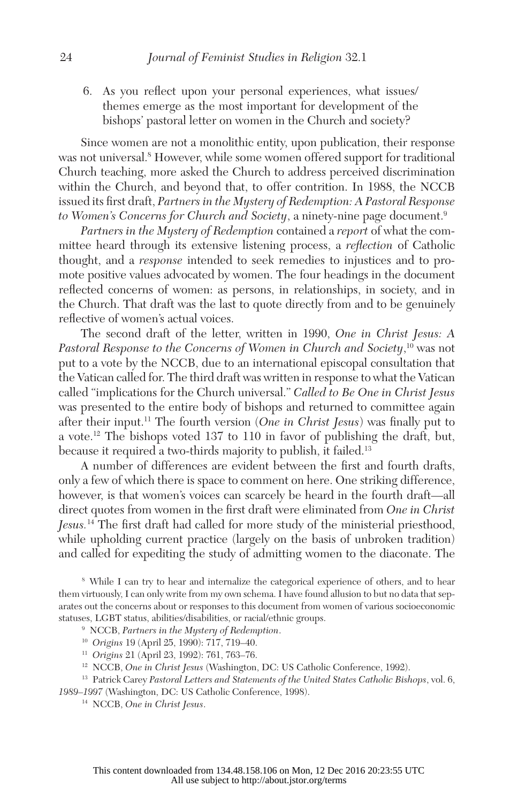6. As you reflect upon your personal experiences, what issues themes emerge as the most important for development of the bishops' pastoral letter on women in the Church and society?

Since women are not a monolithic entity, upon publication, their response was not universal.8 However, while some women offered support for traditional Church teaching, more asked the Church to address perceived discrimination within the Church, and beyond that, to offer contrition. In 1988, the NCCB issued its first draft, *Partners in the Mystery of Redemption: A Pastoral Response to Women's Concerns for Church and Society*, a ninety-nine page document.9

*Partners in the Mystery of Redemption* contained a *report* of what the committee heard through its extensive listening process, a *reflection* of Catholic thought, and a *response* intended to seek remedies to injustices and to promote positive values advocated by women. The four headings in the document reflected concerns of women: as persons, in relationships, in society, and in the Church. That draft was the last to quote directly from and to be genuinely reflective of women's actual voices.

The second draft of the letter, written in 1990, *One in Christ Jesus: A Pastoral Response to the Concerns of Women in Church and Society*, 10 was not put to a vote by the NCCB, due to an international episcopal consultation that the Vatican called for. The third draft was written in response to what the Vatican called "implications for the Church universal." *Called to Be One in Christ Jesus*  was presented to the entire body of bishops and returned to committee again after their input.<sup>11</sup> The fourth version (*One in Christ Jesus*) was finally put to a vote.12 The bishops voted 137 to 110 in favor of publishing the draft, but, because it required a two-thirds majority to publish, it failed.13

A number of differences are evident between the first and fourth drafts, only a few of which there is space to comment on here. One striking difference, however, is that women's voices can scarcely be heard in the fourth draft—all direct quotes from women in the first draft were eliminated from *One in Christ Jesus.*<sup>14</sup> The first draft had called for more study of the ministerial priesthood, while upholding current practice (largely on the basis of unbroken tradition) and called for expediting the study of admitting women to the diaconate. The

<sup>8</sup> While I can try to hear and internalize the categorical experience of others, and to hear them virtuously, I can only write from my own schema. I have found allusion to but no data that separates out the concerns about or responses to this document from women of various socioeconomic statuses, LGBT status, abilities/disabilities, or racial/ethnic groups. 9

NCCB, *Partners in the Mystery of Redemption*.

- <sup>10</sup> *Origins* 19 (April 25, 1990): 717, 719–40. 11 *Origins* 21 (April 23, 1992): 761, 763–76.
- 
- 12 NCCB, *One in Christ Jesus* (Washington, DC: US Catholic Conference, 1992).

13 Patrick Carey *Pastoral Letters and Statements of the United States Catholic Bishops*, vol. 6, *1989*–*1997* (Washington, DC: US Catholic Conference, 1998).

14 NCCB, *One in Christ Jesus*.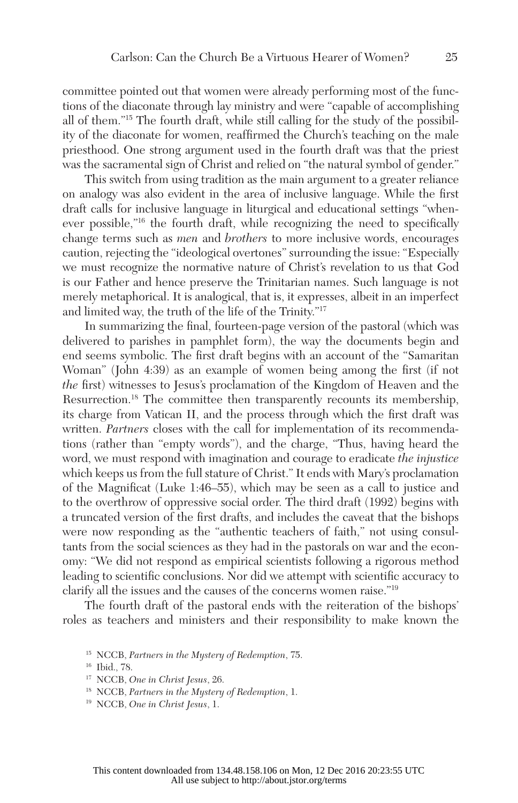committee pointed out that women were already performing most of the functions of the diaconate through lay ministry and were "capable of accomplishing all of them."15 The fourth draft, while still calling for the study of the possibility of the diaconate for women, reaffirmed the Church's teaching on the male priesthood. One strong argument used in the fourth draft was that the priest was the sacramental sign of Christ and relied on "the natural symbol of gender."

This switch from using tradition as the main argument to a greater reliance on analogy was also evident in the area of inclusive language. While the first draft calls for inclusive language in liturgical and educational settings "whenever possible,"<sup>16</sup> the fourth draft, while recognizing the need to specifically change terms such as *men* and *brothers* to more inclusive words, encourages caution, rejecting the "ideological overtones" surrounding the issue: "Especially we must recognize the normative nature of Christ's revelation to us that God is our Father and hence preserve the Trinitarian names. Such language is not merely metaphorical. It is analogical, that is, it expresses, albeit in an imperfect and limited way, the truth of the life of the Trinity."17

In summarizing the final, fourteen-page version of the pastoral (which was delivered to parishes in pamphlet form), the way the documents begin and end seems symbolic. The first draft begins with an account of the "Samaritan Woman" (John  $4:39$ ) as an example of women being among the first (if not *the* first) witnesses to Jesus's proclamation of the Kingdom of Heaven and the Resurrection.<sup>18</sup> The committee then transparently recounts its membership, its charge from Vatican II, and the process through which the first draft was written. *Partners* closes with the call for implementation of its recommendations (rather than "empty words"), and the charge, "Thus, having heard the word, we must respond with imagination and courage to eradicate *the injustice* which keeps us from the full stature of Christ." It ends with Mary's proclamation of the Magnificat (Luke 1:46–55), which may be seen as a call to justice and to the overthrow of oppressive social order. The third draft (1992) begins with a truncated version of the first drafts, and includes the caveat that the bishops were now responding as the "authentic teachers of faith," not using consultants from the social sciences as they had in the pastorals on war and the economy: "We did not respond as empirical scientists following a rigorous method leading to scientific conclusions. Nor did we attempt with scientific accuracy to clarify all the issues and the causes of the concerns women raise."19

The fourth draft of the pastoral ends with the reiteration of the bishops' roles as teachers and ministers and their responsibility to make known the

<sup>15</sup> NCCB, *Partners in the Mystery of Redemption*, 75.

<sup>16</sup> Ibid., 78.

<sup>17</sup> NCCB, *One in Christ Jesus*, 26.

<sup>18</sup> NCCB, *Partners in the Mystery of Redemption*, 1.

<sup>19</sup> NCCB, *One in Christ Jesus*, 1.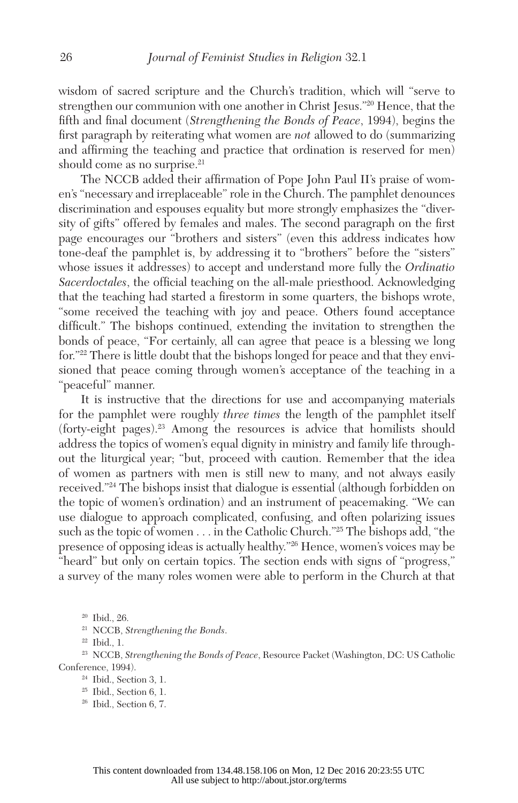wisdom of sacred scripture and the Church's tradition, which will "serve to strengthen our communion with one another in Christ Jesus."20 Hence, that the fifth and final document (*Strengthening the Bonds of Peace*, 1994), begins the first paragraph by reiterating what women are *not* allowed to do (summarizing and affirming the teaching and practice that ordination is reserved for men) should come as no surprise.<sup>21</sup>

The NCCB added their affirmation of Pope John Paul II's praise of women's "necessary and irreplaceable" role in the Church. The pamphlet denounces discrimination and espouses equality but more strongly emphasizes the "diversity of gifts" offered by females and males. The second paragraph on the first page encourages our "brothers and sisters" (even this address indicates how tone-deaf the pamphlet is, by addressing it to "brothers" before the "sisters" whose issues it addresses) to accept and understand more fully the *Ordinatio Sacerdoctales*, the official teaching on the all-male priesthood. Acknowledging that the teaching had started a firestorm in some quarters, the bishops wrote, "some received the teaching with joy and peace. Others found acceptance difficult." The bishops continued, extending the invitation to strengthen the bonds of peace, "For certainly, all can agree that peace is a blessing we long for."22 There is little doubt that the bishops longed for peace and that they envisioned that peace coming through women's acceptance of the teaching in a "peaceful" manner.

It is instructive that the directions for use and accompanying materials for the pamphlet were roughly *three times* the length of the pamphlet itself (forty-eight pages).23 Among the resources is advice that homilists should address the topics of women's equal dignity in ministry and family life throughout the liturgical year; "but, proceed with caution. Remember that the idea of women as partners with men is still new to many, and not always easily received."24 The bishops insist that dialogue is essential (although forbidden on the topic of women's ordination) and an instrument of peacemaking. "We can use dialogue to approach complicated, confusing, and often polarizing issues such as the topic of women . . . in the Catholic Church."<sup>25</sup> The bishops add, "the presence of opposing ideas is actually healthy."26 Hence, women's voices may be "heard" but only on certain topics. The section ends with signs of "progress," a survey of the many roles women were able to perform in the Church at that

21 NCCB, *Strengthening the Bonds*. 22 Ibid., 1.

 $25$  Ibid., Section 6, 1.

<sup>20</sup> Ibid., 26.

<sup>23</sup> NCCB, *Strengthening the Bonds of Peace*, Resource Packet (Washington, DC: US Catholic Conference, 1994).

 $24$  Ibid., Section 3, 1.

 $26$  Ibid., Section 6, 7.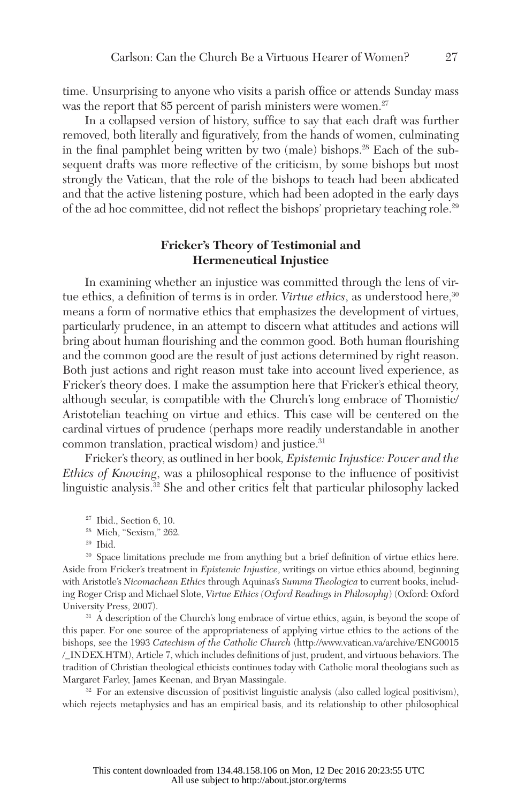time. Unsurprising to anyone who visits a parish office or attends Sunday mass was the report that  $85$  percent of parish ministers were women.<sup>27</sup>

In a collapsed version of history, suffice to say that each draft was further removed, both literally and figuratively, from the hands of women, culminating in the final pamphlet being written by two (male) bishops.<sup>28</sup> Each of the subsequent drafts was more reflective of the criticism, by some bishops but most strongly the Vatican, that the role of the bishops to teach had been abdicated and that the active listening posture, which had been adopted in the early days of the ad hoc committee, did not reflect the bishops' proprietary teaching role.<sup>29</sup>

## **Fricker's Theory of Testimonial and Hermeneutical Injustice**

In examining whether an injustice was committed through the lens of virtue ethics, a definition of terms is in order. *Virtue ethics*, as understood here,<sup>30</sup> means a form of normative ethics that emphasizes the development of virtues, particularly prudence, in an attempt to discern what attitudes and actions will bring about human flourishing and the common good. Both human flourishing and the common good are the result of just actions determined by right reason. Both just actions and right reason must take into account lived experience, as Fricker's theory does. I make the assumption here that Fricker's ethical theory, although secular, is compatible with the Church's long embrace of Thomistic/ Aristotelian teaching on virtue and ethics. This case will be centered on the cardinal virtues of prudence (perhaps more readily understandable in another common translation, practical wisdom) and justice.<sup>31</sup>

Fricker's theory, as outlined in her book*, Epistemic Injustice: Power and the Ethics of Knowing*, was a philosophical response to the influence of positivist linguistic analysis.32 She and other critics felt that particular philosophy lacked

<sup>30</sup> Space limitations preclude me from anything but a brief definition of virtue ethics here. Aside from Fricker's treatment in *Epistemic Injustice*, writings on virtue ethics abound, beginning with Aristotle's *Nicomachean Ethics* through Aquinas's *Summa Theologica* to current books, including Roger Crisp and Michael Slote, *Virtue Ethics (Oxford Readings in Philosophy*) (Oxford: Oxford University Press, 2007).

<sup>31</sup> A description of the Church's long embrace of virtue ethics, again, is beyond the scope of this paper. For one source of the appropriateness of applying virtue ethics to the actions of the bishops, see the 1993 *Catechism of the Catholic Church* (http://www.vatican.va/archive/ENG0015 / INDEX.HTM), Article 7, which includes definitions of just, prudent, and virtuous behaviors. The tradition of Christian theological ethicists continues today with Catholic moral theologians such as Margaret Farley, James Keenan, and Bryan Massingale.

 $32$  For an extensive discussion of positivist linguistic analysis (also called logical positivism), which rejects metaphysics and has an empirical basis, and its relationship to other philosophical

 $27$  Ibid., Section 6, 10.

<sup>28</sup> Mich, "Sexism," 262.

 $29$  Ibid.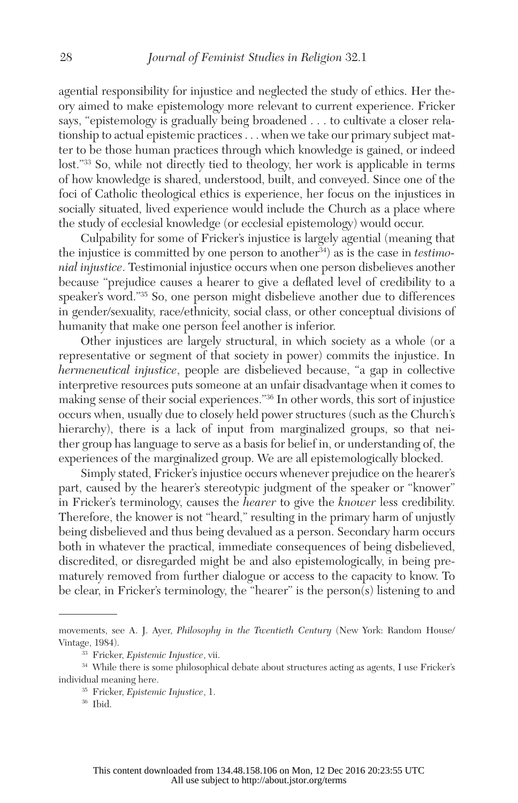agential responsibility for injustice and neglected the study of ethics. Her theory aimed to make epistemology more relevant to current experience. Fricker says, "epistemology is gradually being broadened . . . to cultivate a closer relationship to actual epistemic practices . . . when we take our primary subject matter to be those human practices through which knowledge is gained, or indeed lost."33 So, while not directly tied to theology, her work is applicable in terms of how knowledge is shared, understood, built, and conveyed. Since one of the foci of Catholic theological ethics is experience, her focus on the injustices in socially situated, lived experience would include the Church as a place where the study of ecclesial knowledge (or ecclesial epistemology) would occur.

Culpability for some of Fricker's injustice is largely agential (meaning that the injustice is committed by one person to another<sup>34</sup>) as is the case in *testimonial injustice*. Testimonial injustice occurs when one person disbelieves another because "prejudice causes a hearer to give a deflated level of credibility to a speaker's word."35 So, one person might disbelieve another due to differences in gender/sexuality, race/ethnicity, social class, or other conceptual divisions of humanity that make one person feel another is inferior.

Other injustices are largely structural, in which society as a whole (or a representative or segment of that society in power) commits the injustice. In *hermeneutical injustice*, people are disbelieved because, "a gap in collective interpretive resources puts someone at an unfair disadvantage when it comes to making sense of their social experiences."36 In other words, this sort of injustice occurs when, usually due to closely held power structures (such as the Church's hierarchy), there is a lack of input from marginalized groups, so that neither group has language to serve as a basis for belief in, or understanding of, the experiences of the marginalized group. We are all epistemologically blocked.

Simply stated, Fricker's injustice occurs whenever prejudice on the hearer's part, caused by the hearer's stereotypic judgment of the speaker or "knower" in Fricker's terminology, causes the *hearer* to give the *knower* less credibility. Therefore, the knower is not "heard," resulting in the primary harm of unjustly being disbelieved and thus being devalued as a person. Secondary harm occurs both in whatever the practical, immediate consequences of being disbelieved, discredited, or disregarded might be and also epistemologically, in being prematurely removed from further dialogue or access to the capacity to know. To be clear, in Fricker's terminology, the "hearer" is the person(s) listening to and

movements, see A. J. Ayer, *Philosophy in the Twentieth Century* (New York: Random House/ Vintage, 1984).

<sup>33</sup> Fricker, *Epistemic Injustice*, vii.

<sup>&</sup>lt;sup>34</sup> While there is some philosophical debate about structures acting as agents, I use Fricker's individual meaning here.

<sup>35</sup> Fricker, *Epistemic Injustice*, 1.

<sup>36</sup> Ibid.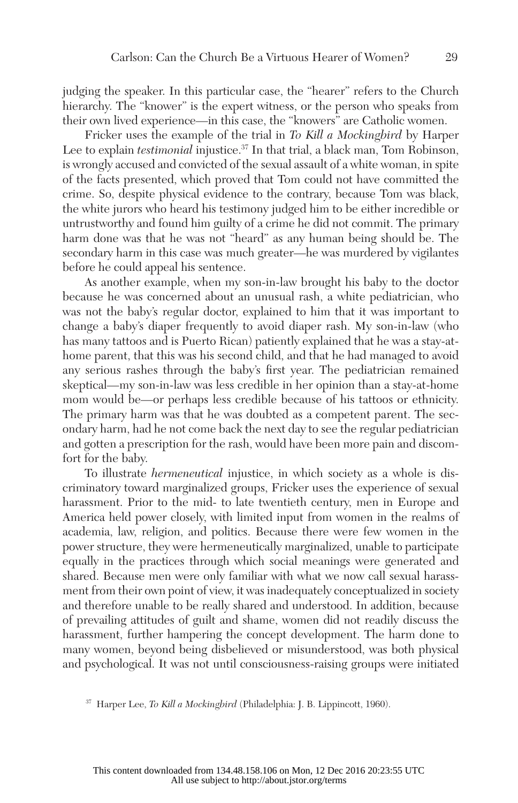judging the speaker. In this particular case, the "hearer" refers to the Church hierarchy. The "knower" is the expert witness, or the person who speaks from their own lived experience—in this case, the "knowers" are Catholic women.

Fricker uses the example of the trial in *To Kill a Mockingbird* by Harper Lee to explain *testimonial* injustice.<sup>37</sup> In that trial, a black man, Tom Robinson, is wrongly accused and convicted of the sexual assault of a white woman, in spite of the facts presented, which proved that Tom could not have committed the crime. So, despite physical evidence to the contrary, because Tom was black, the white jurors who heard his testimony judged him to be either incredible or untrustworthy and found him guilty of a crime he did not commit. The primary harm done was that he was not "heard" as any human being should be. The secondary harm in this case was much greater—he was murdered by vigilantes before he could appeal his sentence.

As another example, when my son-in-law brought his baby to the doctor because he was concerned about an unusual rash, a white pediatrician, who was not the baby's regular doctor, explained to him that it was important to change a baby's diaper frequently to avoid diaper rash. My son-in-law (who has many tattoos and is Puerto Rican) patiently explained that he was a stay-athome parent, that this was his second child, and that he had managed to avoid any serious rashes through the baby's first year. The pediatrician remained skeptical—my son-in-law was less credible in her opinion than a stay-at-home mom would be—or perhaps less credible because of his tattoos or ethnicity. The primary harm was that he was doubted as a competent parent. The secondary harm, had he not come back the next day to see the regular pediatrician and gotten a prescription for the rash, would have been more pain and discomfort for the baby.

To illustrate *hermeneutical* injustice, in which society as a whole is discriminatory toward marginalized groups, Fricker uses the experience of sexual harassment. Prior to the mid- to late twentieth century, men in Europe and America held power closely, with limited input from women in the realms of academia, law, religion, and politics. Because there were few women in the power structure, they were hermeneutically marginalized, unable to participate equally in the practices through which social meanings were generated and shared. Because men were only familiar with what we now call sexual harassment from their own point of view, it was inadequately conceptualized in society and therefore unable to be really shared and understood. In addition, because of prevailing attitudes of guilt and shame, women did not readily discuss the harassment, further hampering the concept development. The harm done to many women, beyond being disbelieved or misunderstood, was both physical and psychological. It was not until consciousness-raising groups were initiated

<sup>37</sup> Harper Lee, *To Kill a Mockingbird* (Philadelphia: J. B. Lippincott, 1960).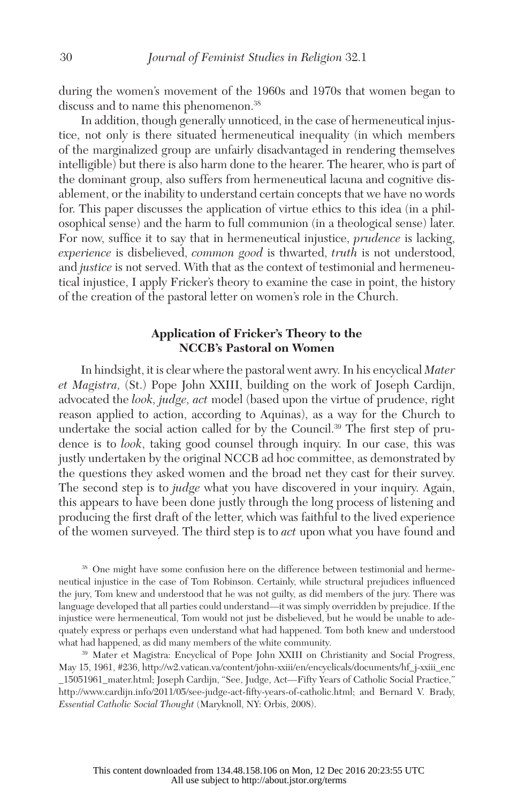during the women's movement of the 1960s and 1970s that women began to discuss and to name this phenomenon.<sup>38</sup>

In addition, though generally unnoticed, in the case of hermeneutical injustice, not only is there situated hermeneutical inequality (in which members of the marginalized group are unfairly disadvantaged in rendering themselves intelligible) but there is also harm done to the hearer. The hearer, who is part of the dominant group, also suffers from hermeneutical lacuna and cognitive disablement, or the inability to understand certain concepts that we have no words for. This paper discusses the application of virtue ethics to this idea (in a philosophical sense) and the harm to full communion (in a theological sense) later. For now, suffice it to say that in hermeneutical injustice, *prudence* is lacking, *experience* is disbelieved, *common good* is thwarted, *truth* is not understood, and *justice* is not served. With that as the context of testimonial and hermeneutical injustice, I apply Fricker's theory to examine the case in point, the history of the creation of the pastoral letter on women's role in the Church.

### **Application of Fricker's Theory to the NCCB's Pastoral on Women**

In hindsight, it is clear where the pastoral went awry. In his encyclical *Mater et Magistra,* (St.) Pope John XXIII, building on the work of Joseph Cardijn, advocated the *look, judge, act* model (based upon the virtue of prudence, right reason applied to action, according to Aquinas), as a way for the Church to undertake the social action called for by the Council.<sup>39</sup> The first step of prudence is to *look*, taking good counsel through inquiry. In our case, this was justly undertaken by the original NCCB ad hoc committee, as demonstrated by the questions they asked women and the broad net they cast for their survey. The second step is to *judge* what you have discovered in your inquiry. Again, this appears to have been done justly through the long process of listening and producing the first draft of the letter, which was faithful to the lived experience of the women surveyed. The third step is to *act* upon what you have found and

<sup>38</sup> One might have some confusion here on the difference between testimonial and hermeneutical injustice in the case of Tom Robinson. Certainly, while structural prejudices influenced the jury, Tom knew and understood that he was not guilty, as did members of the jury. There was language developed that all parties could understand—it was simply overridden by prejudice. If the injustice were hermeneutical, Tom would not just be disbelieved, but he would be unable to adequately express or perhaps even understand what had happened. Tom both knew and understood what had happened, as did many members of the white community.

39 Mater et Magistra: Encyclical of Pope John XXIII on Christianity and Social Progress, May 15, 1961, #236, http://w2.vatican.va/content/john-xxiii/en/encyclicals/documents/hf\_j-xxiii\_enc \_15051961\_mater.html; Joseph Cardijn, "See, Judge, Act—Fifty Years of Catholic Social Practice," http://www.cardijn.info/2011/05/see-judge-act-fifty-years-of-catholic.html; and Bernard V. Brady, *Essential Catholic Social Thought* (Maryknoll, NY: Orbis, 2008).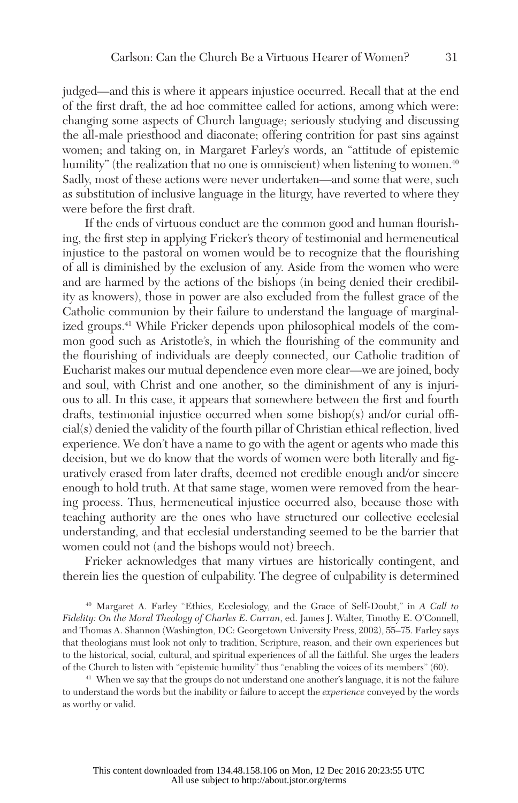judged—and this is where it appears injustice occurred. Recall that at the end of the first draft, the ad hoc committee called for actions, among which were: changing some aspects of Church language; seriously studying and discussing the all-male priesthood and diaconate; offering contrition for past sins against women; and taking on, in Margaret Farley's words, an "attitude of epistemic humility" (the realization that no one is omniscient) when listening to women.<sup>40</sup> Sadly, most of these actions were never undertaken—and some that were, such as substitution of inclusive language in the liturgy, have reverted to where they were before the first draft.

If the ends of virtuous conduct are the common good and human flourishing, the first step in applying Fricker's theory of testimonial and hermeneutical injustice to the pastoral on women would be to recognize that the flourishing of all is diminished by the exclusion of any. Aside from the women who were and are harmed by the actions of the bishops (in being denied their credibility as knowers), those in power are also excluded from the fullest grace of the Catholic communion by their failure to understand the language of marginalized groups.<sup>41</sup> While Fricker depends upon philosophical models of the common good such as Aristotle's, in which the flourishing of the community and the flourishing of individuals are deeply connected, our Catholic tradition of Eucharist makes our mutual dependence even more clear—we are joined, body and soul, with Christ and one another, so the diminishment of any is injurious to all. In this case, it appears that somewhere between the first and fourth drafts, testimonial injustice occurred when some bishop(s) and/or curial official(s) denied the validity of the fourth pillar of Christian ethical reflection, lived experience. We don't have a name to go with the agent or agents who made this decision, but we do know that the words of women were both literally and figuratively erased from later drafts, deemed not credible enough and/or sincere enough to hold truth. At that same stage, women were removed from the hearing process. Thus, hermeneutical injustice occurred also, because those with teaching authority are the ones who have structured our collective ecclesial understanding, and that ecclesial understanding seemed to be the barrier that women could not (and the bishops would not) breech.

Fricker acknowledges that many virtues are historically contingent, and therein lies the question of culpability. The degree of culpability is determined

40 Margaret A. Farley "Ethics, Ecclesiology, and the Grace of Self-Doubt," in *A Call to Fidelity: On the Moral Theology of Charles E*. *Curran*, ed. James J. Walter, Timothy E. O'Connell, and Thomas A. Shannon (Washington, DC: Georgetown University Press, 2002), 55–75. Farley says that theologians must look not only to tradition, Scripture, reason, and their own experiences but to the historical, social, cultural, and spiritual experiences of all the faithful. She urges the leaders of the Church to listen with "epistemic humility" thus "enabling the voices of its members" (60).

<sup>41</sup> When we say that the groups do not understand one another's language, it is not the failure to understand the words but the inability or failure to accept the *experience* conveyed by the words as worthy or valid.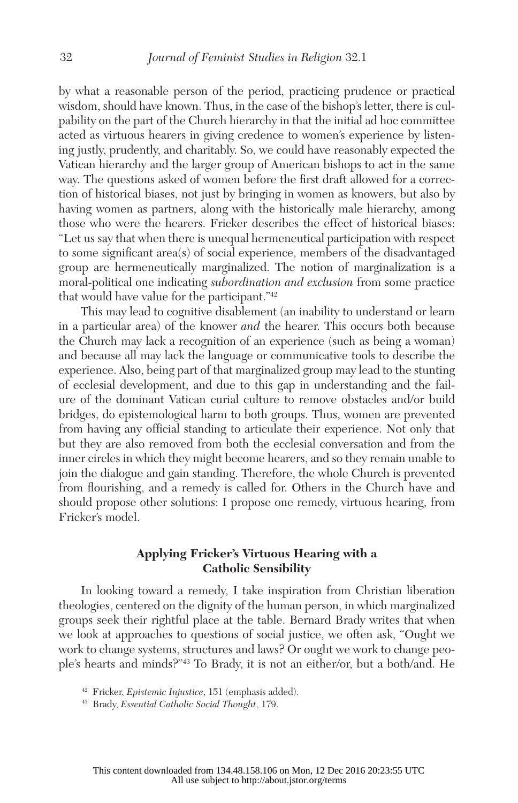by what a reasonable person of the period, practicing prudence or practical wisdom, should have known. Thus, in the case of the bishop's letter, there is culpability on the part of the Church hierarchy in that the initial ad hoc committee acted as virtuous hearers in giving credence to women's experience by listening justly, prudently, and charitably. So, we could have reasonably expected the Vatican hierarchy and the larger group of American bishops to act in the same way. The questions asked of women before the first draft allowed for a correction of historical biases, not just by bringing in women as knowers, but also by having women as partners, along with the historically male hierarchy, among those who were the hearers. Fricker describes the effect of historical biases: "Let us say that when there is unequal hermeneutical participation with respect to some significant area(s) of social experience, members of the disadvantaged group are hermeneutically marginalized. The notion of marginalization is a moral-political one indicating *subordination and exclusion* from some practice that would have value for the participant."42

This may lead to cognitive disablement (an inability to understand or learn in a particular area) of the knower *and* the hearer. This occurs both because the Church may lack a recognition of an experience (such as being a woman) and because all may lack the language or communicative tools to describe the experience. Also, being part of that marginalized group may lead to the stunting of ecclesial development, and due to this gap in understanding and the failure of the dominant Vatican curial culture to remove obstacles and/or build bridges, do epistemological harm to both groups. Thus, women are prevented from having any official standing to articulate their experience. Not only that but they are also removed from both the ecclesial conversation and from the inner circles in which they might become hearers, and so they remain unable to join the dialogue and gain standing. Therefore, the whole Church is prevented from flourishing, and a remedy is called for. Others in the Church have and should propose other solutions: I propose one remedy, virtuous hearing, from Fricker's model.

#### **Applying Fricker's Virtuous Hearing with a Catholic Sensibility**

In looking toward a remedy, I take inspiration from Christian liberation theologies, centered on the dignity of the human person, in which marginalized groups seek their rightful place at the table. Bernard Brady writes that when we look at approaches to questions of social justice, we often ask, "Ought we work to change systems, structures and laws? Or ought we work to change people's hearts and minds?"43 To Brady, it is not an either/or, but a both/and. He

<sup>42</sup> Fricker, *Epistemic Injustice*, 151 (emphasis added).

<sup>43</sup> Brady, *Essential Catholic Social Thought*, 179.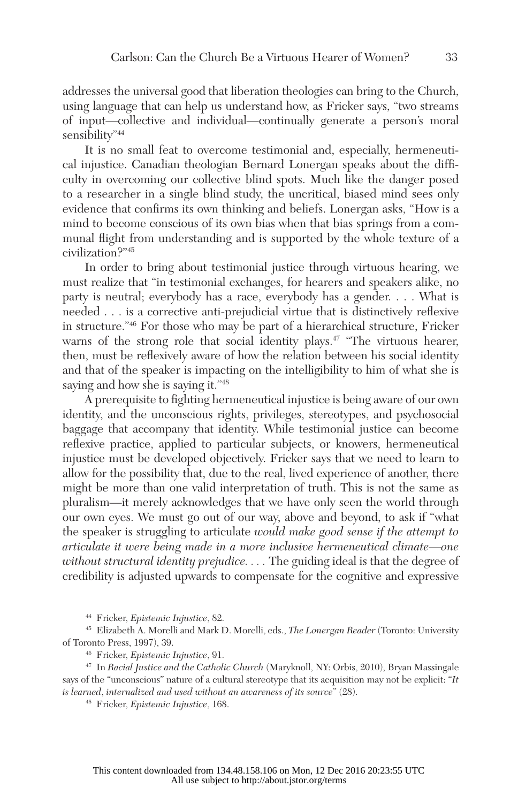addresses the universal good that liberation theologies can bring to the Church, using language that can help us understand how, as Fricker says, "two streams of input—collective and individual—continually generate a person's moral sensibility"<sup>44</sup>

It is no small feat to overcome testimonial and, especially, hermeneutical injustice. Canadian theologian Bernard Lonergan speaks about the difficulty in overcoming our collective blind spots. Much like the danger posed to a researcher in a single blind study, the uncritical, biased mind sees only evidence that confirms its own thinking and beliefs. Lonergan asks, "How is a mind to become conscious of its own bias when that bias springs from a communal flight from understanding and is supported by the whole texture of a civilization?"45

In order to bring about testimonial justice through virtuous hearing, we must realize that "in testimonial exchanges, for hearers and speakers alike, no party is neutral; everybody has a race, everybody has a gender. . . . What is  $\operatorname{needed}$  . . . is a corrective anti-prejudicial virtue that is distinctively reflexive in structure."46 For those who may be part of a hierarchical structure, Fricker warns of the strong role that social identity plays.<sup>47</sup> "The virtuous hearer, then, must be reflexively aware of how the relation between his social identity and that of the speaker is impacting on the intelligibility to him of what she is saying and how she is saying it."<sup>48</sup>

A prerequisite to fighting hermeneutical injustice is being aware of our own identity, and the unconscious rights, privileges, stereotypes, and psychosocial baggage that accompany that identity. While testimonial justice can become reflexive practice, applied to particular subjects, or knowers, hermeneutical injustice must be developed objectively. Fricker says that we need to learn to allow for the possibility that, due to the real, lived experience of another, there might be more than one valid interpretation of truth. This is not the same as pluralism—it merely acknowledges that we have only seen the world through our own eyes. We must go out of our way, above and beyond, to ask if "what the speaker is struggling to articulate *would make good sense if the attempt to articulate it were being made in a more inclusive hermeneutical climate—one without structural identity prejudice. . . .* The guiding ideal is that the degree of credibility is adjusted upwards to compensate for the cognitive and expressive

44 Fricker, *Epistemic Injustice*, 82.

45 Elizabeth A. Morelli and Mark D. Morelli, eds., *The Lonergan Reader* (Toronto: University of Toronto Press, 1997), 39.

46 Fricker, *Epistemic Injustice*, 91. 47 In *Racial Justice and the Catholic Church* (Maryknoll, NY: Orbis, 2010), Bryan Massingale says of the "unconscious" nature of a cultural stereotype that its acquisition may not be explicit: "*It is learned*, *internalized and used without an awareness of its source*" (28). 48 Fricker, *Epistemic Injustice*, 168.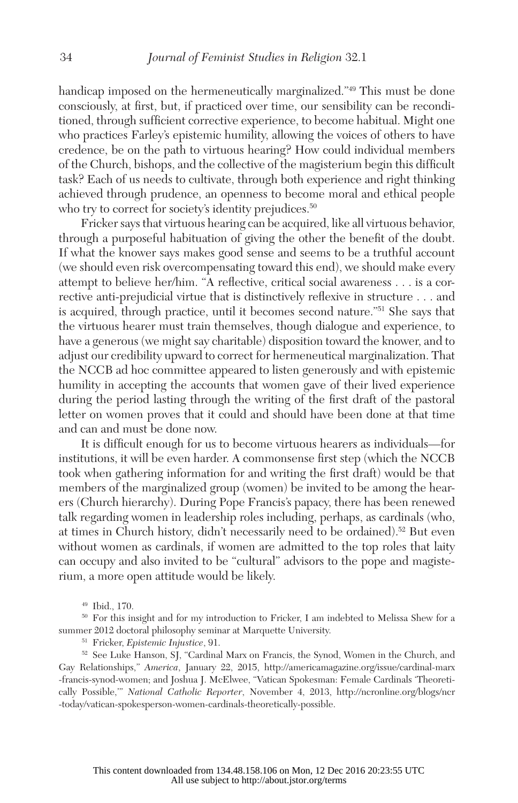handicap imposed on the hermeneutically marginalized."49 This must be done consciously, at first, but, if practiced over time, our sensibility can be reconditioned, through sufficient corrective experience, to become habitual. Might one who practices Farley's epistemic humility, allowing the voices of others to have credence, be on the path to virtuous hearing? How could individual members of the Church, bishops, and the collective of the magisterium begin this difficult task? Each of us needs to cultivate, through both experience and right thinking achieved through prudence, an openness to become moral and ethical people who try to correct for society's identity prejudices.<sup>50</sup>

Fricker says that virtuous hearing can be acquired, like all virtuous behavior, through a purposeful habituation of giving the other the benefit of the doubt. If what the knower says makes good sense and seems to be a truthful account (we should even risk overcompensating toward this end), we should make every attempt to believe her/him. "A reflective, critical social awareness . . . is a corrective anti-prejudicial virtue that is distinctively reflexive in structure . . . and is acquired, through practice, until it becomes second nature."51 She says that the virtuous hearer must train themselves, though dialogue and experience, to have a generous (we might say charitable) disposition toward the knower, and to adjust our credibility upward to correct for hermeneutical marginalization. That the NCCB ad hoc committee appeared to listen generously and with epistemic humility in accepting the accounts that women gave of their lived experience during the period lasting through the writing of the first draft of the pastoral letter on women proves that it could and should have been done at that time and can and must be done now.

It is difficult enough for us to become virtuous hearers as individuals-for institutions, it will be even harder. A commonsense first step (which the NCCB took when gathering information for and writing the first draft) would be that members of the marginalized group (women) be invited to be among the hearers (Church hierarchy). During Pope Francis's papacy, there has been renewed talk regarding women in leadership roles including, perhaps, as cardinals (who, at times in Church history, didn't necessarily need to be ordained).52 But even without women as cardinals, if women are admitted to the top roles that laity can occupy and also invited to be "cultural" advisors to the pope and magisterium, a more open attitude would be likely.

50 For this insight and for my introduction to Fricker, I am indebted to Melissa Shew for a summer 2012 doctoral philosophy seminar at Marquette University.

51 Fricker, *Epistemic Injustice*, 91.

52 See Luke Hanson, SJ, "Cardinal Marx on Francis, the Synod, Women in the Church, and Gay Relationships," *America*, January 22, 2015, http://americamagazine.org/issue/cardinal-marx -francis-synod-women; and Joshua J. McElwee, "Vatican Spokesman: Female Cardinals 'Theoretically Possible,'" *National Catholic Reporter*, November 4, 2013, http://ncronline.org/blogs/ncr -today/vatican-spokesperson-women-cardinals-theoretically-possible.

<sup>49</sup> Ibid., 170.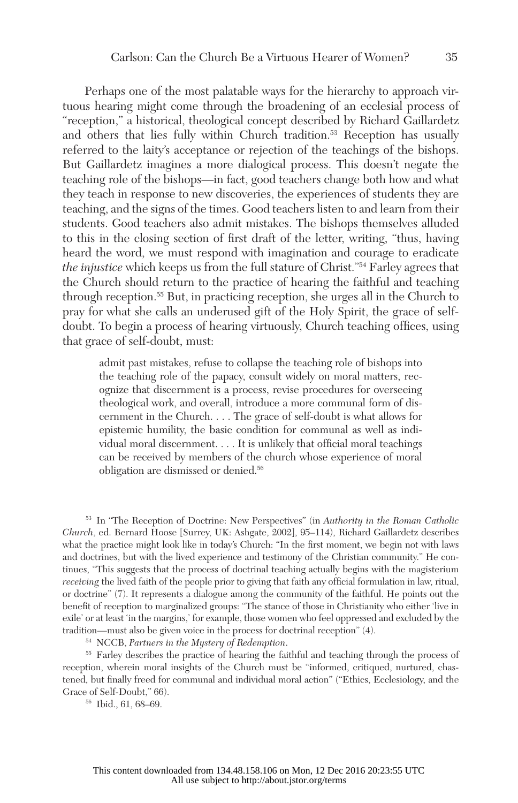Perhaps one of the most palatable ways for the hierarchy to approach virtuous hearing might come through the broadening of an ecclesial process of "reception," a historical, theological concept described by Richard Gaillardetz and others that lies fully within Church tradition.<sup>53</sup> Reception has usually referred to the laity's acceptance or rejection of the teachings of the bishops. But Gaillardetz imagines a more dialogical process. This doesn't negate the teaching role of the bishops—in fact, good teachers change both how and what they teach in response to new discoveries, the experiences of students they are teaching, and the signs of the times. Good teachers listen to and learn from their students. Good teachers also admit mistakes. The bishops themselves alluded to this in the closing section of first draft of the letter, writing, "thus, having heard the word, we must respond with imagination and courage to eradicate *the injustice* which keeps us from the full stature of Christ."<sup>54</sup> Farley agrees that the Church should return to the practice of hearing the faithful and teaching through reception.55 But, in practicing reception, she urges all in the Church to pray for what she calls an underused gift of the Holy Spirit, the grace of selfdoubt. To begin a process of hearing virtuously, Church teaching offices, using that grace of self-doubt, must:

admit past mistakes, refuse to collapse the teaching role of bishops into the teaching role of the papacy, consult widely on moral matters, recognize that discernment is a process, revise procedures for overseeing theological work, and overall, introduce a more communal form of discernment in the Church. . . . The grace of self-doubt is what allows for epistemic humility, the basic condition for communal as well as individual moral discernment. . . . It is unlikely that official moral teachings can be received by members of the church whose experience of moral obligation are dismissed or denied.56

53 In "The Reception of Doctrine: New Perspectives" (in *Authority in the Roman Catholic Church*, ed. Bernard Hoose [Surrey, UK: Ashgate, 2002], 95–114), Richard Gaillardetz describes what the practice might look like in today's Church: "In the first moment, we begin not with laws and doctrines, but with the lived experience and testimony of the Christian community." He continues, "This suggests that the process of doctrinal teaching actually begins with the magisterium *receiving* the lived faith of the people prior to giving that faith any official formulation in law, ritual, or doctrine" (7). It represents a dialogue among the community of the faithful. He points out the benefit of reception to marginalized groups: "The stance of those in Christianity who either 'live in exile' or at least 'in the margins,' for example, those women who feel oppressed and excluded by the tradition—must also be given voice in the process for doctrinal reception" (4).

<sup>54</sup> NCCB, *Partners in the Mystery of Redemption*.<br><sup>55</sup> Farley describes the practice of hearing the faithful and teaching through the process of reception, wherein moral insights of the Church must be "informed, critiqued, nurtured, chastened, but finally freed for communal and individual moral action" ("Ethics, Ecclesiology, and the Grace of Self-Doubt," 66).

56 Ibid., 61, 68–69.